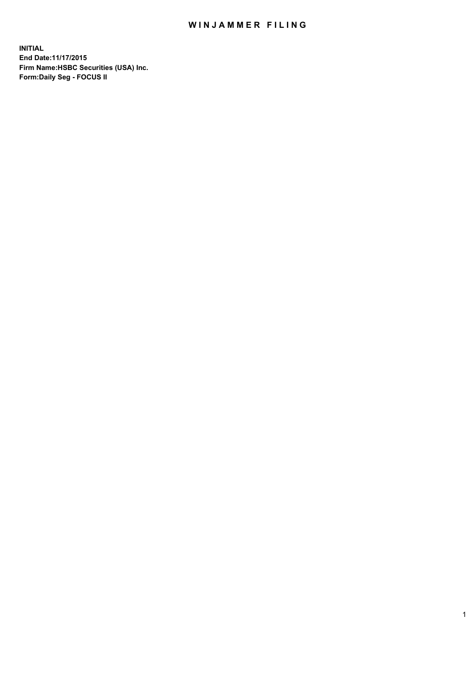## WINJAMMER FILING

**INITIAL End Date:11/17/2015 Firm Name:HSBC Securities (USA) Inc. Form:Daily Seg - FOCUS II**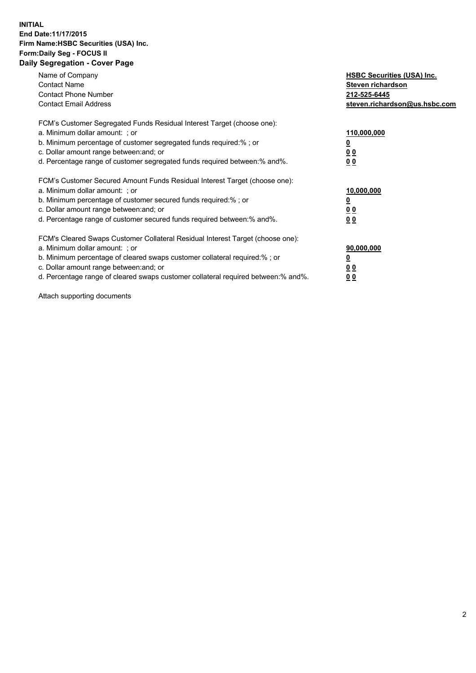## **INITIAL End Date:11/17/2015 Firm Name:HSBC Securities (USA) Inc. Form:Daily Seg - FOCUS II Daily Segregation - Cover Page**

| Name of Company<br><b>Contact Name</b><br><b>Contact Phone Number</b><br><b>Contact Email Address</b>                                                                                                                                                                                                                          | <b>HSBC Securities (USA) Inc.</b><br>Steven richardson<br>212-525-6445<br>steven.richardson@us.hsbc.com |
|--------------------------------------------------------------------------------------------------------------------------------------------------------------------------------------------------------------------------------------------------------------------------------------------------------------------------------|---------------------------------------------------------------------------------------------------------|
| FCM's Customer Segregated Funds Residual Interest Target (choose one):<br>a. Minimum dollar amount: ; or<br>b. Minimum percentage of customer segregated funds required:%; or<br>c. Dollar amount range between: and; or<br>d. Percentage range of customer segregated funds required between:% and%.                          | 110,000,000<br>$\overline{\mathbf{0}}$<br>0 <sub>0</sub><br>0 <sub>0</sub>                              |
| FCM's Customer Secured Amount Funds Residual Interest Target (choose one):<br>a. Minimum dollar amount: ; or<br>b. Minimum percentage of customer secured funds required:%; or<br>c. Dollar amount range between: and; or<br>d. Percentage range of customer secured funds required between: % and %.                          | 10,000,000<br>₫<br>0 <sub>0</sub><br>0 <sub>0</sub>                                                     |
| FCM's Cleared Swaps Customer Collateral Residual Interest Target (choose one):<br>a. Minimum dollar amount: ; or<br>b. Minimum percentage of cleared swaps customer collateral required:% ; or<br>c. Dollar amount range between: and; or<br>d. Percentage range of cleared swaps customer collateral required between:% and%. | 90,000,000<br><u>0</u><br>0 <sub>0</sub><br><u>00</u>                                                   |

Attach supporting documents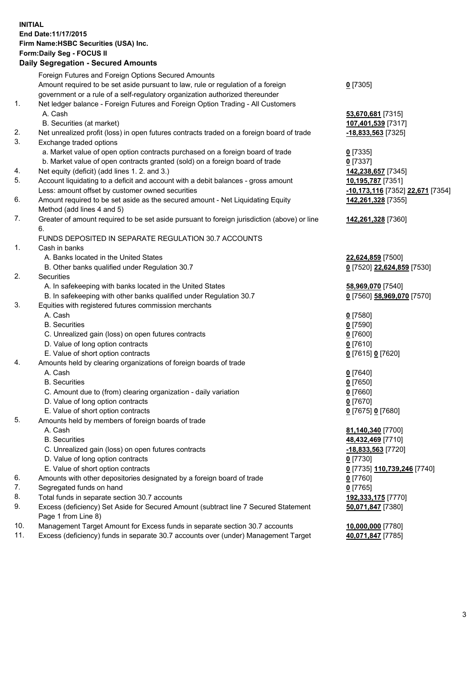## **INITIAL End Date:11/17/2015 Firm Name:HSBC Securities (USA) Inc. Form:Daily Seg - FOCUS II**

## **Daily Segregation - Secured Amounts**

|     | Foreign Futures and Foreign Options Secured Amounts                                                        |                                                      |
|-----|------------------------------------------------------------------------------------------------------------|------------------------------------------------------|
|     | Amount required to be set aside pursuant to law, rule or regulation of a foreign                           | $0$ [7305]                                           |
|     | government or a rule of a self-regulatory organization authorized thereunder                               |                                                      |
| 1.  | Net ledger balance - Foreign Futures and Foreign Option Trading - All Customers                            |                                                      |
|     | A. Cash                                                                                                    | 53,670,681 [7315]                                    |
|     | B. Securities (at market)                                                                                  | 107,401,539 [7317]                                   |
| 2.  | Net unrealized profit (loss) in open futures contracts traded on a foreign board of trade                  | <u>-18,833,563</u> [7325]                            |
| 3.  | Exchange traded options                                                                                    |                                                      |
|     | a. Market value of open option contracts purchased on a foreign board of trade                             | $0$ [7335]                                           |
|     | b. Market value of open contracts granted (sold) on a foreign board of trade                               | $0$ [7337]                                           |
| 4.  | Net equity (deficit) (add lines 1. 2. and 3.)                                                              | 142,238,657 [7345]                                   |
| 5.  | Account liquidating to a deficit and account with a debit balances - gross amount                          | 10,195,787 [7351]                                    |
|     | Less: amount offset by customer owned securities                                                           | <mark>-10,173,116</mark> [7352] <b>22,671</b> [7354] |
| 6.  | Amount required to be set aside as the secured amount - Net Liquidating Equity                             | 142,261,328 [7355]                                   |
|     | Method (add lines 4 and 5)                                                                                 |                                                      |
| 7.  | Greater of amount required to be set aside pursuant to foreign jurisdiction (above) or line                | 142,261,328 [7360]                                   |
|     | 6.                                                                                                         |                                                      |
|     | FUNDS DEPOSITED IN SEPARATE REGULATION 30.7 ACCOUNTS                                                       |                                                      |
| 1.  | Cash in banks                                                                                              |                                                      |
|     | A. Banks located in the United States                                                                      | 22,624,859 [7500]                                    |
|     | B. Other banks qualified under Regulation 30.7                                                             | 0 [7520] 22,624,859 [7530]                           |
| 2.  | Securities                                                                                                 |                                                      |
|     | A. In safekeeping with banks located in the United States                                                  | 58,969,070 [7540]                                    |
|     | B. In safekeeping with other banks qualified under Regulation 30.7                                         | 0 [7560] 58,969,070 [7570]                           |
| 3.  | Equities with registered futures commission merchants                                                      |                                                      |
|     | A. Cash                                                                                                    | 0 [7580]                                             |
|     | <b>B.</b> Securities                                                                                       | $0$ [7590]                                           |
|     | C. Unrealized gain (loss) on open futures contracts                                                        | $0$ [7600]                                           |
|     | D. Value of long option contracts                                                                          | $0$ [7610]                                           |
|     | E. Value of short option contracts                                                                         | 0 [7615] 0 [7620]                                    |
| 4.  | Amounts held by clearing organizations of foreign boards of trade                                          |                                                      |
|     | A. Cash                                                                                                    | $0$ [7640]                                           |
|     | <b>B.</b> Securities                                                                                       | $0$ [7650]                                           |
|     | C. Amount due to (from) clearing organization - daily variation                                            | $0$ [7660]                                           |
|     | D. Value of long option contracts                                                                          | $0$ [7670]                                           |
|     | E. Value of short option contracts                                                                         | 0 [7675] 0 [7680]                                    |
| 5.  | Amounts held by members of foreign boards of trade                                                         |                                                      |
|     | A. Cash                                                                                                    | 81,140,340 [7700]                                    |
|     | <b>B.</b> Securities                                                                                       | 48,432,469 [7710]                                    |
|     | C. Unrealized gain (loss) on open futures contracts                                                        | -18,833,563 [7720]                                   |
|     | D. Value of long option contracts                                                                          | $0$ [7730]                                           |
|     | E. Value of short option contracts                                                                         | 0 [7735] 110,739,246 [7740]                          |
| 6.  | Amounts with other depositories designated by a foreign board of trade                                     | $0$ [7760]                                           |
| 7.  | Segregated funds on hand                                                                                   | $0$ [7765]                                           |
| 8.  | Total funds in separate section 30.7 accounts                                                              | 192,333,175 [7770]                                   |
| 9.  | Excess (deficiency) Set Aside for Secured Amount (subtract line 7 Secured Statement<br>Page 1 from Line 8) | 50,071,847 [7380]                                    |
| 10. | Management Target Amount for Excess funds in separate section 30.7 accounts                                | 10,000,000 [7780]                                    |
| 11. | Excess (deficiency) funds in separate 30.7 accounts over (under) Management Target                         | 40,071,847 [7785]                                    |
|     |                                                                                                            |                                                      |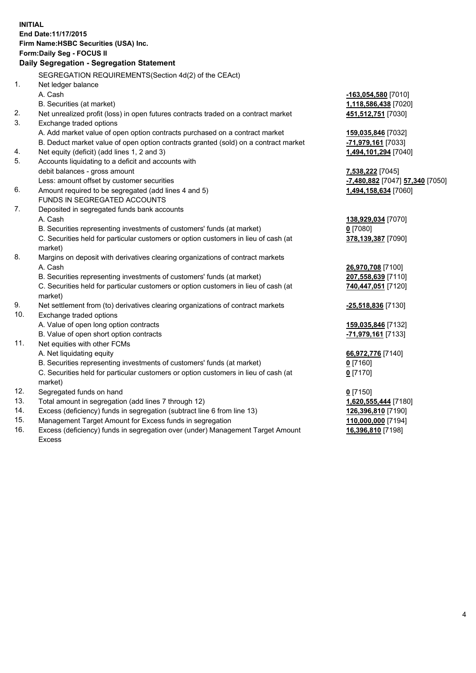|                          | <b>INITIAL</b><br>End Date: 11/17/2015<br>Firm Name: HSBC Securities (USA) Inc.<br>Form: Daily Seg - FOCUS II                                                                                                                                                         |                                                                                |
|--------------------------|-----------------------------------------------------------------------------------------------------------------------------------------------------------------------------------------------------------------------------------------------------------------------|--------------------------------------------------------------------------------|
|                          | Daily Segregation - Segregation Statement                                                                                                                                                                                                                             |                                                                                |
| 1.                       | SEGREGATION REQUIREMENTS(Section 4d(2) of the CEAct)<br>Net ledger balance                                                                                                                                                                                            |                                                                                |
|                          | A. Cash<br>B. Securities (at market)                                                                                                                                                                                                                                  | <u>-163,054,580</u> [7010]<br>1,118,586,438 [7020]                             |
| 2.<br>3.                 | Net unrealized profit (loss) in open futures contracts traded on a contract market<br>Exchange traded options                                                                                                                                                         | 451,512,751 [7030]                                                             |
|                          | A. Add market value of open option contracts purchased on a contract market<br>B. Deduct market value of open option contracts granted (sold) on a contract market                                                                                                    | 159,035,846 [7032]<br>-71,979,161 [7033]                                       |
| 4.<br>5.                 | Net equity (deficit) (add lines 1, 2 and 3)<br>Accounts liquidating to a deficit and accounts with                                                                                                                                                                    | 1,494,101,294 [7040]                                                           |
|                          | debit balances - gross amount<br>Less: amount offset by customer securities                                                                                                                                                                                           | <b>7,538,222</b> [7045]<br>-7,480,882 [7047] 57,340 [7050]                     |
| 6.                       | Amount required to be segregated (add lines 4 and 5)<br>FUNDS IN SEGREGATED ACCOUNTS                                                                                                                                                                                  | 1,494,158,634 [7060]                                                           |
| 7.                       | Deposited in segregated funds bank accounts<br>A. Cash<br>B. Securities representing investments of customers' funds (at market)<br>C. Securities held for particular customers or option customers in lieu of cash (at<br>market)                                    | 138,929,034 [7070]<br>$0$ [7080]<br>378,139,387 [7090]                         |
| 8.                       | Margins on deposit with derivatives clearing organizations of contract markets<br>A. Cash<br>B. Securities representing investments of customers' funds (at market)<br>C. Securities held for particular customers or option customers in lieu of cash (at<br>market) | 26,970,708 [7100]<br>207,558,639 [7110]<br>740,447,051 [7120]                  |
| 9.                       | Net settlement from (to) derivatives clearing organizations of contract markets                                                                                                                                                                                       | <u>-25,518,836</u> [7130]                                                      |
| 10.                      | Exchange traded options<br>A. Value of open long option contracts<br>B. Value of open short option contracts                                                                                                                                                          | 159,035,846 [7132]<br>-71,979,161 [7133]                                       |
| 11.                      | Net equities with other FCMs<br>A. Net liquidating equity<br>B. Securities representing investments of customers' funds (at market)<br>C. Securities held for particular customers or option customers in lieu of cash (at                                            | 66,972,776 [7140]<br>$0$ [7160]<br>$0$ [7170]                                  |
| 12.<br>13.<br>14.<br>15. | market)<br>Segregated funds on hand<br>Total amount in segregation (add lines 7 through 12)<br>Excess (deficiency) funds in segregation (subtract line 6 from line 13)<br>Management Target Amount for Excess funds in segregation                                    | $0$ [7150]<br>1,620,555,444 [7180]<br>126,396,810 [7190]<br>110,000,000 [7194] |
| 16.                      | Excess (deficiency) funds in segregation over (under) Management Target Amount                                                                                                                                                                                        | 16,396,810 [7198]                                                              |

16. Excess (deficiency) funds in segregation over (under) Management Target Amount Excess